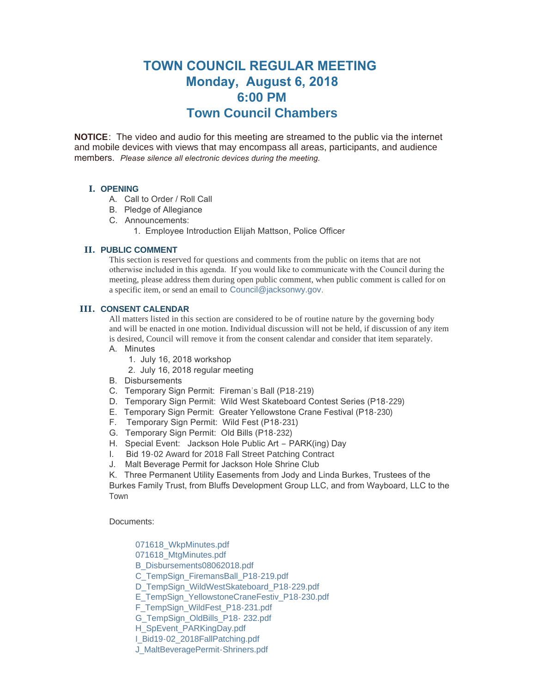# **TOWN COUNCIL REGULAR MEETING Monday, August 6, 2018 6:00 PM Town Council Chambers**

**NOTICE**: The video and audio for this meeting are streamed to the public via the internet and mobile devices with views that may encompass all areas, participants, and audience members. *Please silence all electronic devices during the meeting.* 

## **I. OPENING**

- A. Call to Order / Roll Call
- B. Pledge of Allegiance
- C. Announcements:
	- 1. Employee Introduction Elijah Mattson, Police Officer

## **PUBLIC COMMENT II.**

This section is reserved for questions and comments from the public on items that are not otherwise included in this agenda. If you would like to communicate with the Council during the meeting, please address them during open public comment, when public comment is called for on a specific item, or send an email to [Council@jacksonwy.gov](mailto:).

## **CONSENT CALENDAR III.**

All matters listed in this section are considered to be of routine nature by the governing body and will be enacted in one motion. Individual discussion will not be held, if discussion of any item is desired, Council will remove it from the consent calendar and consider that item separately.

- A. Minutes
	- 1. July 16, 2018 workshop
	- 2. July 16, 2018 regular meeting
- B. Disbursements
- C. Temporary Sign Permit: Fireman's Ball (P18-219)
- D. Temporary Sign Permit: Wild West Skateboard Contest Series (P18-229)
- E. Temporary Sign Permit: Greater Yellowstone Crane Festival (P18-230)
- F. Temporary Sign Permit: Wild Fest (P18-231)
- G. Temporary Sign Permit: Old Bills (P18-232)
- H. Special Event: Jackson Hole Public Art PARK(ing) Day
- I. Bid 19-02 Award for 2018 Fall Street Patching Contract
- J. Malt Beverage Permit for Jackson Hole Shrine Club
- K. Three Permanent Utility Easements from Jody and Linda Burkes, Trustees of the

Burkes Family Trust, from Bluffs Development Group LLC, and from Wayboard, LLC to the Town

Documents:

[071618\\_WkpMinutes.pdf](https://www.jacksonwy.gov/AgendaCenter/ViewFile/Item/1426?fileID=3928)

- [071618\\_MtgMinutes.pdf](https://www.jacksonwy.gov/AgendaCenter/ViewFile/Item/1426?fileID=3927)
- [B\\_Disbursements08062018.pdf](https://www.jacksonwy.gov/AgendaCenter/ViewFile/Item/1426?fileID=3940)
- [C\\_TempSign\\_FiremansBall\\_P18-219.pdf](https://www.jacksonwy.gov/AgendaCenter/ViewFile/Item/1426?fileID=3930)
- [D\\_TempSign\\_WildWestSkateboard\\_P18-229.pdf](https://www.jacksonwy.gov/AgendaCenter/ViewFile/Item/1426?fileID=3939)
- [E\\_TempSign\\_YellowstoneCraneFestiv\\_P18-230.pdf](https://www.jacksonwy.gov/AgendaCenter/ViewFile/Item/1426?fileID=3932)
- [F\\_TempSign\\_WildFest\\_P18-231.pdf](https://www.jacksonwy.gov/AgendaCenter/ViewFile/Item/1426?fileID=3933)
- [G\\_TempSign\\_OldBills\\_P18- 232.pdf](https://www.jacksonwy.gov/AgendaCenter/ViewFile/Item/1426?fileID=3922)
- [H\\_SpEvent\\_PARKingDay.pdf](https://www.jacksonwy.gov/AgendaCenter/ViewFile/Item/1426?fileID=3923)
- [I\\_Bid19-02\\_2018FallPatching.pdf](https://www.jacksonwy.gov/AgendaCenter/ViewFile/Item/1426?fileID=3924)
- [J\\_MaltBeveragePermit-Shriners.pdf](https://www.jacksonwy.gov/AgendaCenter/ViewFile/Item/1426?fileID=3925)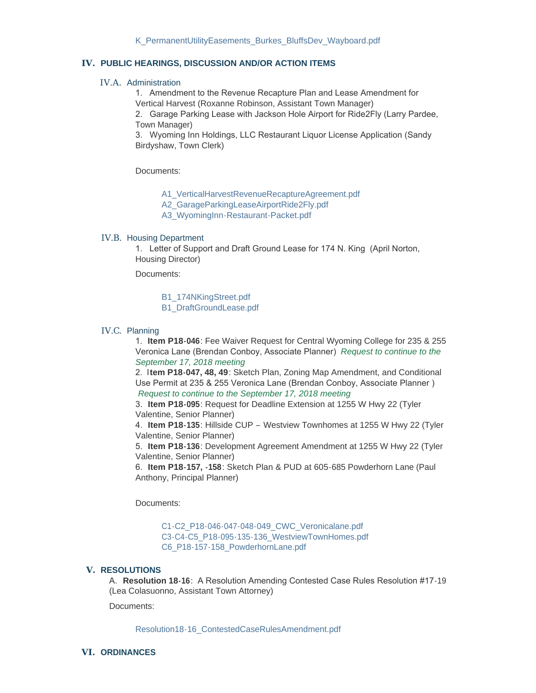### **PUBLIC HEARINGS, DISCUSSION AND/OR ACTION ITEMS IV.**

#### IV.A. Administration

1. Amendment to the Revenue Recapture Plan and Lease Amendment for Vertical Harvest (Roxanne Robinson, Assistant Town Manager)

2. Garage Parking Lease with Jackson Hole Airport for Ride2Fly (Larry Pardee, Town Manager)

3. Wyoming Inn Holdings, LLC Restaurant Liquor License Application (Sandy Birdyshaw, Town Clerk)

Documents:

[A1\\_VerticalHarvestRevenueRecaptureAgreement.pdf](https://www.jacksonwy.gov/AgendaCenter/ViewFile/Item/1427?fileID=3941)

[A2\\_GarageParkingLeaseAirportRide2Fly.pdf](https://www.jacksonwy.gov/AgendaCenter/ViewFile/Item/1427?fileID=3934)

[A3\\_WyomingInn-Restaurant-Packet.pdf](https://www.jacksonwy.gov/AgendaCenter/ViewFile/Item/1427?fileID=3935)

#### IV.B. Housing Department

1. Letter of Support and Draft Ground Lease for 174 N. King (April Norton, Housing Director)

Documents:

[B1\\_174NKingStreet.pdf](https://www.jacksonwy.gov/AgendaCenter/ViewFile/Item/1428?fileID=3943) [B1\\_DraftGroundLease.pdf](https://www.jacksonwy.gov/AgendaCenter/ViewFile/Item/1428?fileID=3946)

#### IV.C. Planning

1. **Item P18-046**: Fee Waiver Request for Central Wyoming College for 235 & 255 Veronica Lane (Brendan Conboy, Associate Planner) *Request to continue to the September 17, 2018 meeting*

2. I**tem P18-047, 48, 49**: Sketch Plan, Zoning Map Amendment, and Conditional Use Permit at 235 & 255 Veronica Lane (Brendan Conboy, Associate Planner ) *Request to continue to the September 17, 2018 meeting*

3. **Item P18-095**: Request for Deadline Extension at 1255 W Hwy 22 (Tyler Valentine, Senior Planner)

4. **Item P18-135**: Hillside CUP – Westview Townhomes at 1255 W Hwy 22 (Tyler Valentine, Senior Planner)

5. **Item P18-136**: Development Agreement Amendment at 1255 W Hwy 22 (Tyler Valentine, Senior Planner)

6. **Item P18-157, -158**: Sketch Plan & PUD at 605-685 Powderhorn Lane (Paul Anthony, Principal Planner)

Documents:

[C1-C2\\_P18-046-047-048-049\\_CWC\\_Veronicalane.pdf](https://www.jacksonwy.gov/AgendaCenter/ViewFile/Item/1429?fileID=3920) [C3-C4-C5\\_P18-095-135-136\\_WestviewTownHomes.pdf](https://www.jacksonwy.gov/AgendaCenter/ViewFile/Item/1429?fileID=3947) [C6\\_P18-157-158\\_PowderhornLane.pdf](https://www.jacksonwy.gov/AgendaCenter/ViewFile/Item/1429?fileID=3919)

#### **RESOLUTIONS V.**

A. **Resolution 18-16**: A Resolution Amending Contested Case Rules Resolution #17-19 (Lea Colasuonno, Assistant Town Attorney)

Documents:

[Resolution18-16\\_ContestedCaseRulesAmendment.pdf](https://www.jacksonwy.gov/AgendaCenter/ViewFile/Item/1430?fileID=3936)

#### **ORDINANCES VI.**